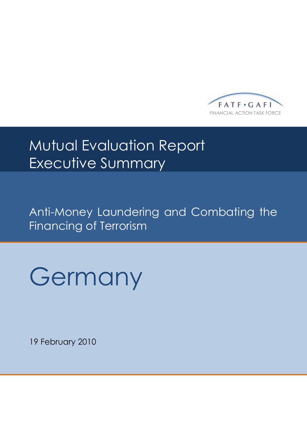

# Mutual Evaluation Report Executive Summary

Anti-Money Laundering and Combating the Financing of Terrorism



19 February 2010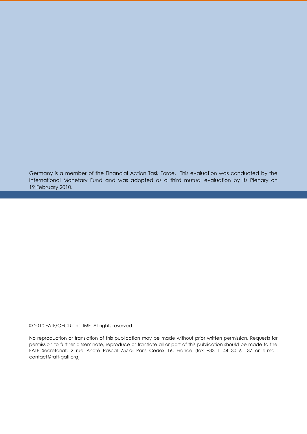Germany is a member of the Financial Action Task Force. This evaluation was conducted by the International Monetary Fund and was adopted as a third mutual evaluation by its Plenary on 19 February 2010.

© 2010 FATF/OECD and IMF. All rights reserved.

No reproduction or translation of this publication may be made without prior written permission. Requests for permission to further disseminate, reproduce or translate all or part of this publication should be made to the FATF Secretariat, 2 rue André Pascal 75775 Paris Cedex 16, France (fax +33 1 44 30 61 37 or e-mail: contact@fatf-gafi.org)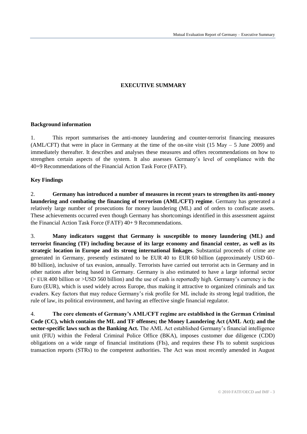# **EXECUTIVE SUMMARY**

#### **Background information**

1. This report summarises the anti-money laundering and counter-terrorist financing measures (AML/CFT) that were in place in Germany at the time of the on-site visit (15 May  $-$  5 June 2009) and immediately thereafter. It describes and analyses these measures and offers recommendations on how to strengthen certain aspects of the system. It also assesses Germany's level of compliance with the 40+9 Recommendations of the Financial Action Task Force (FATF).

# **Key Findings**

2. **Germany has introduced a number of measures in recent years to strengthen its anti-money laundering and combating the financing of terrorism (AML/CFT) regime**. Germany has generated a relatively large number of prosecutions for money laundering (ML) and of orders to confiscate assets. These achievements occurred even though Germany has shortcomings identified in this assessment against the Financial Action Task Force (FATF) 40+ 9 Recommendations.

3. **Many indicators suggest that Germany is susceptible to money laundering (ML) and terrorist financing (TF) including because of its large economy and financial center, as well as its strategic location in Europe and its strong international linkages**. Substantial proceeds of crime are generated in Germany, presently estimated to be EUR 40 to EUR 60 billion (approximately USD 60– 80 billion), inclusive of tax evasion, annually. Terrorists have carried out terrorist acts in Germany and in other nations after being based in Germany. Germany is also estimated to have a large informal sector (> EUR 400 billion or >USD 560 billion) and the use of cash is reportedly high. Germany's currency is the Euro (EUR), which is used widely across Europe, thus making it attractive to organized criminals and tax evaders. Key factors that may reduce Germany's risk profile for ML include its strong legal tradition, the rule of law, its political environment, and having an effective single financial regulator.

4. **The core elements of Germany's AML/CFT regime are established in the German Criminal Code (CC), which contains the ML and TF offenses; the Money Laundering Act (AML Act); and the sector-specific laws such as the Banking Act.** The AML Act established Germany's financial intelligence unit (FIU) within the Federal Criminal Police Office (BKA), imposes customer due diligence (CDD) obligations on a wide range of financial institutions (FIs), and requires these FIs to submit suspicious transaction reports (STRs) to the competent authorities. The Act was most recently amended in August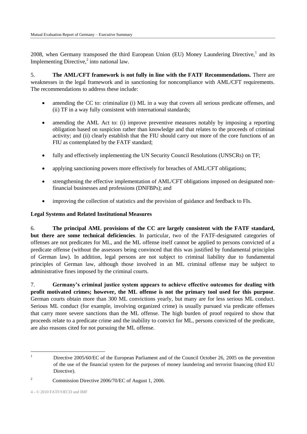2008, when Germany transposed the third European Union (EU) Money Laundering Directive,<sup>1</sup> and its Implementing Directive, $2$  into national law.

5. **The AML/CFT framework is not fully in line with the FATF Recommendations.** There are weaknesses in the legal framework and in sanctioning for noncompliance with AML/CFT requirements. The recommendations to address these include:

- amending the CC to: criminalize (i) ML in a way that covers all serious predicate offenses, and (ii) TF in a way fully consistent with international standards;
- amending the AML Act to: (i) improve preventive measures notably by imposing a reporting obligation based on suspicion rather than knowledge and that relates to the proceeds of criminal activity; and (ii) clearly establish that the FIU should carry out more of the core functions of an FIU as contemplated by the FATF standard;
- fully and effectively implementing the UN Security Council Resolutions (UNSCRs) on TF;
- applying sanctioning powers more effectively for breaches of AML/CFT obligations;
- strengthening the effective implementation of AML/CFT obligations imposed on designated nonfinancial businesses and professions (DNFBPs); and
- improving the collection of statistics and the provision of guidance and feedback to FIs.

# **Legal Systems and Related Institutional Measures**

6. **The principal AML provisions of the CC are largely consistent with the FATF standard, but there are some technical deficiencies**. In particular, two of the FATF-designated categories of offenses are not predicates for ML, and the ML offense itself cannot be applied to persons convicted of a predicate offense (without the assessors being convinced that this was justified by fundamental principles of German law). In addition, legal persons are not subject to criminal liability due to fundamental principles of German law, although those involved in an ML criminal offense may be subject to administrative fines imposed by the criminal courts.

7. **Germany's criminal justice system appears to achieve effective outcomes for dealing with profit motivated crimes; however, the ML offense is not the primary tool used for this purpose**. German courts obtain more than 300 ML convictions yearly, but many are for less serious ML conduct. Serious ML conduct (for example, involving organized crime) is usually pursued via predicate offenses that carry more severe sanctions than the ML offense. The high burden of proof required to show that proceeds relate to a predicate crime and the inability to convict for ML, persons convicted of the predicate, are also reasons cited for not pursuing the ML offense.

 $\overline{a}$ 

<sup>&</sup>lt;sup>1</sup> Directive 2005/60/EC of the European Parliament and of the Council October 26, 2005 on the prevention of the use of the financial system for the purposes of money laundering and terrorist financing (third EU Directive).

<sup>&</sup>lt;sup>2</sup> Commission Directive 2006/70/EC of August 1, 2006.

<sup>4</sup> - © 2010 FATF/OECD and IMF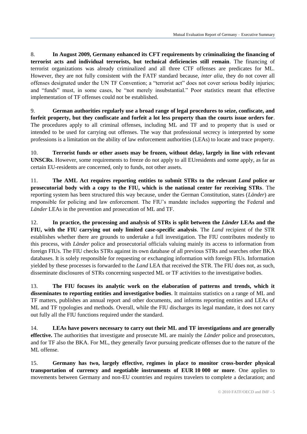8. **In August 2009, Germany enhanced its CFT requirements by criminalizing the financing of terrorist acts and individual terrorists, but technical deficiencies still remain**. The financing of terrorist organizations was already criminalized and all three CTF offenses are predicates for ML. However, they are not fully consistent with the FATF standard because, *inter alia*, they do not cover all offenses designated under the UN TF Convention; a "terrorist act" does not cover serious bodily injuries; and "funds" must, in some cases, be "not merely insubstantial." Poor statistics meant that effective implementation of TF offenses could not be established.

9. **German authorities regularly use a broad range of legal procedures to seize, confiscate, and forfeit property, but they confiscate and forfeit a lot less property than the courts issue orders for**. The procedures apply to all criminal offenses, including ML and TF and to property that is used or intended to be used for carrying out offenses. The way that professional secrecy is interpreted by some professions is a limitation on the ability of law enforcement authorities (LEAs) to locate and trace property.

10. **Terrorist funds or other assets may be frozen, without delay, largely in line with relevant UNSCRs**. However, some requirements to freeze do not apply to all EUresidents and some apply, as far as certain EU-residents are concerned, only to funds, not other assets.

11. **The AML Act requires reporting entities to submit STRs to the relevant** *Land* **police or prosecutorial body with a copy to the FIU, which is the national center for receiving STRs**. The reporting system has been structured this way because, under the German Constitution, states (*Länder*) are responsible for policing and law enforcement. The FIU's mandate includes supporting the Federal and *Länder* LEAs in the prevention and prosecution of ML and TF.

12. **In practice, the processing and analysis of STRs is split between the** *Länder* **LEAs and the FIU, with the FIU carrying out only limited case-specific analysis**. The *Land* recipient of the STR establishes whether there are grounds to undertake a full investigation. The FIU contributes modestly to this process, with *Länder* police and prosecutorial officials valuing mainly its access to information from foreign FIUs. The FIU checks STRs against its own database of all previous STRs and searches other BKA databases. It is solely responsible for requesting or exchanging information with foreign FIUs. Information yielded by these processes is forwarded to the *Land* LEA that received the STR. The FIU does not, as such, disseminate disclosures of STRs concerning suspected ML or TF activities to the investigative bodies.

13. **The FIU focuses its analytic work on the elaboration of patterns and trends, which it disseminates to reporting entities and investigative bodies**. It maintains statistics on a range of ML and TF matters, publishes an annual report and other documents, and informs reporting entities and LEAs of ML and TF typologies and methods. Overall, while the FIU discharges its legal mandate, it does not carry out fully all the FIU functions required under the standard.

14. **LEAs have powers necessary to carry out their ML and TF investigations and are generally effective.** The authorities that investigate and prosecute ML are mainly the *Länder* police and prosecutors, and for TF also the BKA. For ML, they generally favor pursuing predicate offenses due to the nature of the ML offense.

15. **Germany has two, largely effective, regimes in place to monitor cross-border physical transportation of currency and negotiable instruments of EUR 10 000 or more**. One applies to movements between Germany and non-EU countries and requires travelers to complete a declaration; and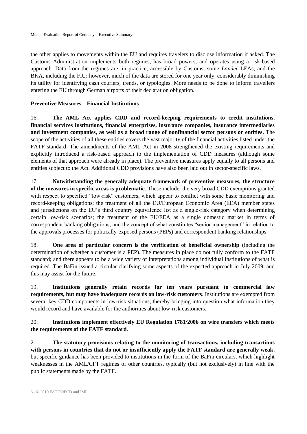the other applies to movements within the EU and requires travelers to disclose information if asked. The Customs Administration implements both regimes, has broad powers, and operates using a risk-based approach. Data from the regimes are, in practice, accessible by Customs, some *Länder* LEAs, and the BKA, including the FIU; however, much of the data are stored for one year only, considerably diminishing its utility for identifying cash couriers, trends, or typologies. More needs to be done to inform travellers entering the EU through German airports of their declaration obligation.

#### **Preventive Measures – Financial Institutions**

16. **The AML Act applies CDD and record-keeping requirements to credit institutions, financial services institutions, financial enterprises, insurance companies, insurance intermediaries and investment companies, as well as a broad range of nonfinancial sector persons or entities**. The scope of the activities of all these entities covers the vast majority of the financial activities listed under the FATF standard. The amendments of the AML Act in 2008 strengthened the existing requirements and explicitly introduced a risk-based approach to the implementation of CDD measures (although some elements of that approach were already in place). The preventive measures apply equally to all persons and entities subject to the Act. Additional CDD provisions have also been laid out in sector-specific laws.

17. **Notwithstanding the generally adequate framework of preventive measures, the structure of the measures in specific areas is problematic**. These include: the very broad CDD exemptions granted with respect to specified "low-risk" customers, which appear to conflict with some basic monitoring and record-keeping obligations; the treatment of all the EU/European Economic Area (EEA) member states and jurisdictions on the EU's third country equivalence list as a single-risk category when determining certain low-risk scenarios; the treatment of the EU/EEA as a single domestic market in terms of correspondent banking obligations; and the concept of what constitutes "senior management" in relation to the approvals processes for politically-exposed persons (PEPs) and correspondent banking relationships.

18. **One area of particular concern is the verification of beneficial ownership** (including the determination of whether a customer is a PEP). The measures in place do not fully conform to the FATF standard; and there appears to be a wide variety of interpretations among individual institutions of what is required. The BaFin issued a circular clarifying some aspects of the expected approach in July 2009, and this may assist for the future.

19. **Institutions generally retain records for ten years pursuant to commercial law requirements, but may have inadequate records on low-risk customers**. Institutions are exempted from several key CDD components in low-risk situations, thereby bringing into question what information they would record and have available for the authorities about low-risk customers.

# 20. **Institutions implement effectively EU Regulation 1781/2006 on wire transfers which meets the requirements of the FATF standard**.

21. **The statutory provisions relating to the monitoring of transactions, including transactions with persons in countries that do not or insufficiently apply the FATF standard are generally weak**, but specific guidance has been provided to institutions in the form of the BaFin circulars, which highlight weaknesses in the AML/CFT regimes of other countries, typically (but not exclusively) in line with the public statements made by the FATF.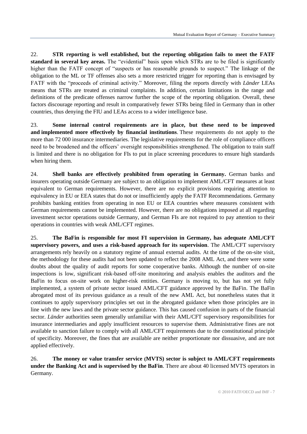22. **STR reporting is well established, but the reporting obligation fails to meet the FATF standard in several key areas.** The "evidential" basis upon which STRs are to be filed is significantly higher than the FATF concept of "suspects or has reasonable grounds to suspect." The linkage of the obligation to the ML or TF offenses also sets a more restricted trigger for reporting than is envisaged by FATF with the "proceeds of criminal activity." Moreover, filing the reports directly with *Länder* LEAs means that STRs are treated as criminal complaints. In addition, certain limitations in the range and definitions of the predicate offenses narrow further the scope of the reporting obligation. Overall, these factors discourage reporting and result in comparatively fewer STRs being filed in Germany than in other countries, thus denying the FIU and LEAs access to a wider intelligence base.

23. **Some internal control requirements are in place, but these need to be improved and implemented more effectively by financial institutions**. These requirements do not apply to the more than 72 000 insurance intermediaries. The legislative requirements for the role of compliance officers need to be broadened and the officers' oversight responsibilities strengthened. The obligation to train staff is limited and there is no obligation for FIs to put in place screening procedures to ensure high standards when hiring them.

24. **Shell banks are effectively prohibited from operating in Germany.** German banks and insurers operating outside Germany are subject to an obligation to implement AML/CFT measures at least equivalent to German requirements. However, there are no explicit provisions requiring attention to equivalency in EU or EEA states that do not or insufficiently apply the FATF Recommendations. Germany prohibits banking entities from operating in non EU or EEA countries where measures consistent with German requirements cannot be implemented. However, there are no obligations imposed at all regarding investment sector operations outside Germany, and German FIs are not required to pay attention to their operations in countries with weak AML/CFT regimes.

25. **The BaFin is responsible for most FI supervision in Germany, has adequate AML/CFT supervisory powers, and uses a risk-based approach for its supervision**. The AML/CFT supervisory arrangements rely heavily on a statutory regime of annual external audits. At the time of the on-site visit, the methodology for these audits had not been updated to reflect the 2008 AML Act, and there were some doubts about the quality of audit reports for some cooperative banks. Although the number of on-site inspections is low, significant risk-based off-site monitoring and analysis enables the auditors and the BaFin to focus on-site work on higher-risk entities. Germany is moving to, but has not yet fully implemented, a system of private sector issued AML/CFT guidance approved by the BaFin. The BaFin abrogated most of its previous guidance as a result of the new AML Act, but nonetheless states that it continues to apply supervisory principles set out in the abrogated guidance when those principles are in line with the new laws and the private sector guidance. This has caused confusion in parts of the financial sector. *Länder* authorities seem generally unfamiliar with their AML/CFT supervisory responsibilities for insurance intermediaries and apply insufficient resources to supervise them. Administrative fines are not available to sanction failure to comply with all AML/CFT requirements due to the constitutional principle of specificity. Moreover, the fines that are available are neither proportionate nor dissuasive, and are not applied effectively.

26. **The money or value transfer service (MVTS) sector is subject to AML/CFT requirements under the Banking Act and is supervised by the BaFin**. There are about 40 licensed MVTS operators in Germany.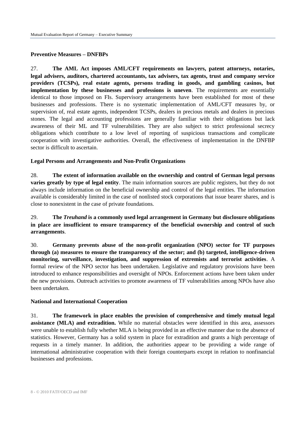#### **Preventive Measures – DNFBPs**

27. **The AML Act imposes AML/CFT requirements on lawyers, patent attorneys, notaries, legal advisers, auditors, chartered accountants, tax advisers, tax agents, trust and company service providers (TCSPs), real estate agents, persons trading in goods, and gambling casinos, but implementation by these businesses and professions is uneven**. The requirements are essentially identical to those imposed on FIs. Supervisory arrangements have been established for most of these businesses and professions. There is no systematic implementation of AML/CFT measures by, or supervision of, real estate agents, independent TCSPs, dealers in precious metals and dealers in precious stones. The legal and accounting professions are generally familiar with their obligations but lack awareness of their ML and TF vulnerabilities. They are also subject to strict professional secrecy obligations which contribute to a low level of reporting of suspicious transactions and complicate cooperation with investigative authorities. Overall, the effectiveness of implementation in the DNFBP sector is difficult to ascertain.

#### **Legal Persons and Arrangements and Non-Profit Organizations**

28. **The extent of information available on the ownership and control of German legal persons varies greatly by type of legal entity**. The main information sources are public registers, but they do not always include information on the beneficial ownership and control of the legal entities. The information available is considerably limited in the case of nonlisted stock corporations that issue bearer shares, and is close to nonexistent in the case of private foundations.

29. **The** *Treuhand* **is a commonly used legal arrangement in Germany but disclosure obligations in place are insufficient to ensure transparency of the beneficial ownership and control of such arrangements**.

30. **Germany prevents abuse of the non-profit organization (NPO) sector for TF purposes through (a) measures to ensure the transparency of the sector; and (b) targeted, intelligence-driven monitoring, surveillance, investigation, and suppression of extremists and terrorist activities**. A formal review of the NPO sector has been undertaken. Legislative and regulatory provisions have been introduced to enhance responsibilities and oversight of NPOs. Enforcement actions have been taken under the new provisions. Outreach activities to promote awareness of TF vulnerabilities among NPOs have also been undertaken.

#### **National and International Cooperation**

31. **The framework in place enables the provision of comprehensive and timely mutual legal assistance (MLA) and extradition.** While no material obstacles were identified in this area, assessors were unable to establish fully whether MLA is being provided in an effective manner due to the absence of statistics. However, Germany has a solid system in place for extradition and grants a high percentage of requests in a timely manner. In addition, the authorities appear to be providing a wide range of international administrative cooperation with their foreign counterparts except in relation to nonfinancial businesses and professions.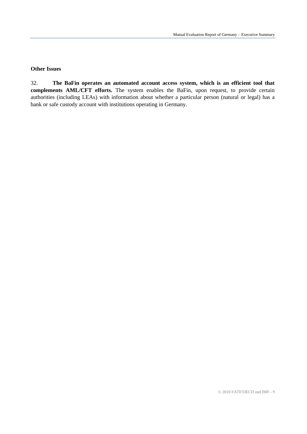#### **Other Issues**

32. **The BaFin operates an automated account access system, which is an efficient tool that complements AML/CFT efforts.** The system enables the BaFin, upon request, to provide certain authorities (including LEAs) with information about whether a particular person (natural or legal) has a bank or safe custody account with institutions operating in Germany.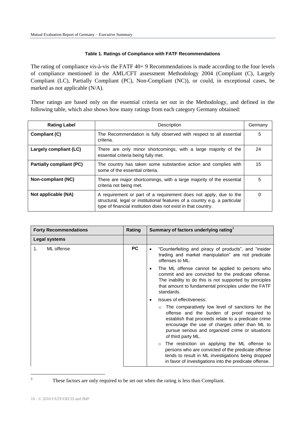#### **Table 1. Ratings of Compliance with FATF Recommendations**

The rating of compliance vis-à-vis the FATF 40+ 9 Recommendations is made according to the four levels of compliance mentioned in the AML/CFT assessment Methodology 2004 (Compliant (C), Largely Compliant (LC), Partially Compliant (PC), Non-Compliant (NC)), or could, in exceptional cases, be marked as not applicable (N/A).

These ratings are based only on the essential criteria set out in the Methodology, and defined in the following table, which also shows how many ratings from each category Germany obtained:

| <b>Rating Label</b>             | Description                                                                                                                                                                                                      | Germany |
|---------------------------------|------------------------------------------------------------------------------------------------------------------------------------------------------------------------------------------------------------------|---------|
| Compliant (C)                   | The Recommendation is fully observed with respect to all essential<br>criteria.                                                                                                                                  | 5       |
| Largely compliant (LC)          | There are only minor shortcomings, with a large majority of the<br>essential criteria being fully met.                                                                                                           | 24      |
| <b>Partially compliant (PC)</b> | The country has taken some substantive action and complies with<br>some of the essential criteria.                                                                                                               | 15      |
| Non-compliant (NC)              | There are major shortcomings, with a large majority of the essential<br>criteria not being met.                                                                                                                  | 5       |
| Not applicable (NA)             | A requirement or part of a requirement does not apply, due to the<br>structural, legal or institutional features of a country e.g. a particular<br>type of financial institution does not exist in that country. | 0       |

| <b>Forty Recommendations</b> | Rating    | Summary of factors underlying rating $3$                                                                                                                                                                                                                                          |
|------------------------------|-----------|-----------------------------------------------------------------------------------------------------------------------------------------------------------------------------------------------------------------------------------------------------------------------------------|
| Legal systems                |           |                                                                                                                                                                                                                                                                                   |
| ML offense<br>1.             | <b>PC</b> | "Counterfeiting and piracy of products", and "insider<br>trading and market manipulation" are not predicate<br>offenses to ML.                                                                                                                                                    |
|                              |           | The ML offense cannot be applied to persons who<br>commit and are convicted for the predicate offense.<br>The inability to do this is not supported by principles<br>that amount to fundamental principles under the FATF<br>standards.                                           |
|                              |           | Issues of effectiveness:                                                                                                                                                                                                                                                          |
|                              |           | The comparatively low level of sanctions for the<br>offense and the burden of proof required to<br>establish that proceeds relate to a predicate crime<br>encourage the use of charges other than ML to<br>pursue serious and organized crime or situations<br>of third party ML. |
|                              |           | The restriction on applying the ML offense to<br>$\circ$<br>persons who are convicted of the predicate offense<br>tends to result in ML investigations being dropped<br>in favor of investigations into the predicate offense.                                                    |

 $\overline{3}$ 

These factors are only required to be set out when the rating is less than Compliant.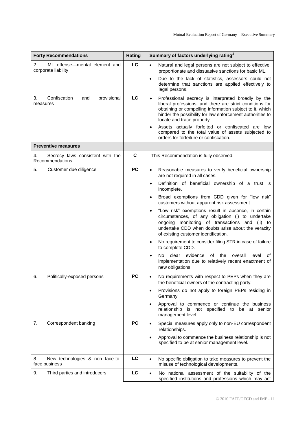| <b>Forty Recommendations</b>                               | Rating      | Summary of factors underlying rating <sup>3</sup>                                                                                                                                                                                                                                  |
|------------------------------------------------------------|-------------|------------------------------------------------------------------------------------------------------------------------------------------------------------------------------------------------------------------------------------------------------------------------------------|
| 2.<br>ML offense-mental element and<br>corporate liability | LC          | Natural and legal persons are not subject to effective,<br>$\bullet$<br>proportionate and dissuasive sanctions for basic ML.                                                                                                                                                       |
|                                                            |             | Due to the lack of statistics, assessors could not<br>$\bullet$<br>determine that sanctions are applied effectively to<br>legal persons.                                                                                                                                           |
| Confiscation<br>provisional<br>3.<br>and<br>measures       | LC          | Professional secrecy is interpreted broadly by the<br>$\bullet$<br>liberal professions, and there are strict conditions for<br>obtaining or compelling information subject to it, which<br>hinder the possibility for law enforcement authorities to<br>locate and trace property. |
|                                                            |             | Assets actually forfeited or confiscated are low<br>compared to the total value of assets subjected to<br>orders for forfeiture or confiscation.                                                                                                                                   |
| <b>Preventive measures</b>                                 |             |                                                                                                                                                                                                                                                                                    |
| 4.<br>Secrecy laws consistent with the<br>Recommendations  | $\mathbf c$ | This Recommendation is fully observed.                                                                                                                                                                                                                                             |
| 5.<br>Customer due diligence                               | <b>PC</b>   | Reasonable measures to verify beneficial ownership<br>$\bullet$<br>are not required in all cases.                                                                                                                                                                                  |
|                                                            |             | Definition of beneficial ownership of a trust is<br>$\bullet$<br>incomplete.                                                                                                                                                                                                       |
|                                                            |             | Broad exemptions from CDD given for "low risk"<br>$\bullet$<br>customers without apparent risk assessment.                                                                                                                                                                         |
|                                                            |             | "Low risk" exemptions result in absence, in certain<br>circumstances, of any obligation (i) to undertake<br>ongoing monitoring of transactions and (ii) to<br>undertake CDD when doubts arise about the veracity<br>of existing customer identification.                           |
|                                                            |             | No requirement to consider filing STR in case of failure<br>$\bullet$<br>to complete CDD.                                                                                                                                                                                          |
|                                                            |             | clear<br>evidence<br>the<br>overall<br>No.<br>of<br>level<br>of<br>$\bullet$<br>implementation due to relatively recent enactment of<br>new obligations.                                                                                                                           |
| 6.<br>Politically-exposed persons                          | <b>PC</b>   | No requirements with respect to PEPs when they are<br>$\bullet$<br>the beneficial owners of the contracting party.                                                                                                                                                                 |
|                                                            |             | Provisions do not apply to foreign PEPs residing in<br>$\bullet$<br>Germany.                                                                                                                                                                                                       |
|                                                            |             | Approval to commence or continue the business<br>$\bullet$<br>relationship<br>is not specified to be at senior<br>management level.                                                                                                                                                |
| 7.<br>Correspondent banking                                | <b>PC</b>   | Special measures apply only to non-EU correspondent<br>$\bullet$<br>relationships.                                                                                                                                                                                                 |
|                                                            |             | Approval to commence the business relationship is not<br>$\bullet$<br>specified to be at senior management level.                                                                                                                                                                  |
| 8.<br>New technologies & non face-to-<br>face business     | LC          | No specific obligation to take measures to prevent the<br>$\bullet$<br>misuse of technological developments.                                                                                                                                                                       |
| 9.<br>Third parties and introducers                        | LC          | No national assessment of the suitability of the<br>$\bullet$<br>specified institutions and professions which may act                                                                                                                                                              |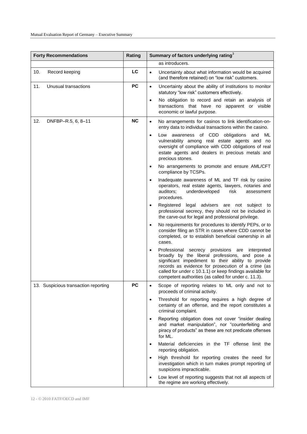| <b>Forty Recommendations</b>         | Rating    | Summary of factors underlying rating <sup>3</sup>                                                                                                                                                                                                                                                                                                  |
|--------------------------------------|-----------|----------------------------------------------------------------------------------------------------------------------------------------------------------------------------------------------------------------------------------------------------------------------------------------------------------------------------------------------------|
|                                      |           | as introducers.                                                                                                                                                                                                                                                                                                                                    |
| 10.<br>Record keeping                | LC        | Uncertainty about what information would be acquired<br>$\bullet$<br>(and therefore retained) on "low risk" customers.                                                                                                                                                                                                                             |
| 11.<br>Unusual transactions          | <b>PC</b> | Uncertainty about the ability of institutions to monitor<br>$\bullet$<br>statutory "low risk" customers effectively.                                                                                                                                                                                                                               |
|                                      |           | No obligation to record and retain an analysis of<br>$\bullet$<br>transactions that have no apparent or visible<br>economic or lawful purpose.                                                                                                                                                                                                     |
| 12.<br>DNFBP-R.5, 6, 8-11            | <b>NC</b> | No arrangements for casinos to link identification-on-<br>$\bullet$<br>entry data to individual transactions within the casino.                                                                                                                                                                                                                    |
|                                      |           | Low awareness of CDD obligations and<br>ML<br>$\bullet$<br>vulnerability among real estate agents and no<br>oversight of compliance with CDD obligations of real<br>estate agents and dealers in precious metals and<br>precious stones.                                                                                                           |
|                                      |           | No arrangements to promote and ensure AML/CFT<br>$\bullet$<br>compliance by TCSPs.                                                                                                                                                                                                                                                                 |
|                                      |           | Inadequate awareness of ML and TF risk by casino<br>$\bullet$<br>operators, real estate agents, lawyers, notaries and<br>auditors;<br>underdeveloped<br>risk<br>assessment<br>procedures.                                                                                                                                                          |
|                                      |           | legal advisers are not subject to<br>Registered<br>$\bullet$<br>professional secrecy, they should not be included in<br>the carve-out for legal and professional privilege.                                                                                                                                                                        |
|                                      |           | No requirements for procedures to identify PEPs, or to<br>$\bullet$<br>consider filing an STR in cases where CDD cannot be<br>completed, or to establish beneficial ownership in all<br>cases.                                                                                                                                                     |
|                                      |           | Professional secrecy provisions<br>are interpreted<br>$\bullet$<br>broadly by the liberal professions, and pose a<br>significant impediment to their ability to provide<br>records as evidence for prosecution of a crime (as<br>called for under c 10.1.1) or keep findings available for<br>competent authorities (as called for under c. 11.3). |
| 13. Suspicious transaction reporting | <b>PC</b> | Scope of reporting relates to ML only and not to<br>٠<br>proceeds of criminal activity.                                                                                                                                                                                                                                                            |
|                                      |           | Threshold for reporting requires a high degree of<br>$\bullet$<br>certainty of an offense, and the report constitutes a<br>criminal complaint.                                                                                                                                                                                                     |
|                                      |           | Reporting obligation does not cover "insider dealing<br>$\bullet$<br>and market manipulation", nor "counterfeiting and<br>piracy of products" as these are not predicate offenses<br>for ML.                                                                                                                                                       |
|                                      |           | Material deficiencies in the TF offense limit the<br>$\bullet$<br>reporting obligation.                                                                                                                                                                                                                                                            |
|                                      |           | High threshold for reporting creates the need for<br>$\bullet$<br>investigation which in turn makes prompt reporting of<br>suspicions impracticable.                                                                                                                                                                                               |
|                                      |           | Low level of reporting suggests that not all aspects of<br>the regime are working effectively.                                                                                                                                                                                                                                                     |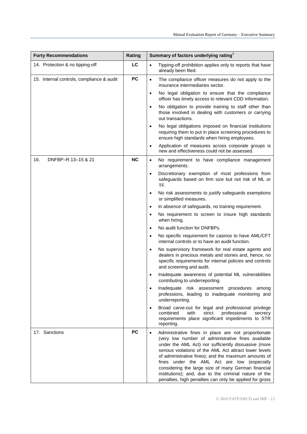| <b>Forty Recommendations</b>              | Rating    | Summary of factors underlying rating <sup>3</sup>                                                                                                                                                                                                                                                                                                                                                                                                                                                                          |
|-------------------------------------------|-----------|----------------------------------------------------------------------------------------------------------------------------------------------------------------------------------------------------------------------------------------------------------------------------------------------------------------------------------------------------------------------------------------------------------------------------------------------------------------------------------------------------------------------------|
| 14. Protection & no tipping-off           | LC        | Tipping-off prohibition applies only to reports that have<br>$\bullet$<br>already been filed.                                                                                                                                                                                                                                                                                                                                                                                                                              |
| 15. Internal controls, compliance & audit | PC        | The compliance officer measures do not apply to the<br>$\bullet$<br>insurance intermediaries sector.                                                                                                                                                                                                                                                                                                                                                                                                                       |
|                                           |           | No legal obligation to ensure that the compliance<br>$\bullet$<br>officer has timely access to relevant CDD information.                                                                                                                                                                                                                                                                                                                                                                                                   |
|                                           |           | No obligation to provide training to staff other than<br>$\bullet$<br>those involved in dealing with customers or carrying<br>out transactions.                                                                                                                                                                                                                                                                                                                                                                            |
|                                           |           | No legal obligations imposed on financial institutions<br>$\bullet$<br>requiring them to put in place screening procedures to<br>ensure high standards when hiring employees.                                                                                                                                                                                                                                                                                                                                              |
|                                           |           | Application of measures across corporate groups is<br>$\bullet$<br>new and effectiveness could not be assessed.                                                                                                                                                                                                                                                                                                                                                                                                            |
| 16.<br>DNFBP-R.13-15 & 21                 | <b>NC</b> | No requirement to have compliance management<br>$\bullet$<br>arrangements.                                                                                                                                                                                                                                                                                                                                                                                                                                                 |
|                                           |           | Discretionary exemption of most professions from<br>$\bullet$<br>safeguards based on firm size but not risk of ML or<br>TF.                                                                                                                                                                                                                                                                                                                                                                                                |
|                                           |           | No risk assessments to justify safeguards exemptions<br>$\bullet$<br>or simplified measures.                                                                                                                                                                                                                                                                                                                                                                                                                               |
|                                           |           | In absence of safeguards, no training requirement.<br>$\bullet$                                                                                                                                                                                                                                                                                                                                                                                                                                                            |
|                                           |           | No requirement to screen to insure high standards<br>$\bullet$<br>when hiring.                                                                                                                                                                                                                                                                                                                                                                                                                                             |
|                                           |           | No audit function for DNFBPs.<br>$\bullet$                                                                                                                                                                                                                                                                                                                                                                                                                                                                                 |
|                                           |           | No specific requirement for casinos to have AML/CFT<br>$\bullet$<br>internal controls or to have an audit function.                                                                                                                                                                                                                                                                                                                                                                                                        |
|                                           |           | No supervisory framework for real estate agents and<br>$\bullet$<br>dealers in precious metals and stones and, hence, no<br>specific requirements for internal policies and controls<br>and screening and audit.                                                                                                                                                                                                                                                                                                           |
|                                           |           | Inadequate awareness of potential ML vulnerabilities<br>contributing to underreporting.                                                                                                                                                                                                                                                                                                                                                                                                                                    |
|                                           |           | Inadequate risk assessment procedures among<br>$\bullet$<br>professions, leading to inadequate monitoring and<br>underreporting.                                                                                                                                                                                                                                                                                                                                                                                           |
|                                           |           | Broad carve-out for legal and professional privilege<br>$\bullet$<br>professional<br>combined<br>with<br>strict<br>secrecy<br>requirements place significant impediments to STR<br>reporting.                                                                                                                                                                                                                                                                                                                              |
| 17. Sanctions                             | <b>PC</b> | Administrative fines in place are not proportionate<br>$\bullet$<br>(very low number of administrative fines available<br>under the AML Act) nor sufficiently dissuasive (more<br>serious violations of the AML Act attract lower levels<br>of administrative fines); and the maximum amounts of<br>fines under the AML Act are low (especially<br>considering the large size of many German financial<br>institutions); and, due to the criminal nature of the<br>penalties, high penalties can only be applied for gross |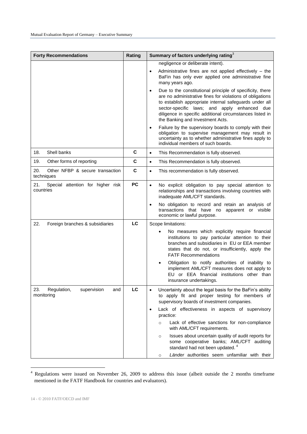| <b>Forty Recommendations</b>                           | Rating    | Summary of factors underlying rating <sup>3</sup>                                                                                                                                                                                                                                                                                             |
|--------------------------------------------------------|-----------|-----------------------------------------------------------------------------------------------------------------------------------------------------------------------------------------------------------------------------------------------------------------------------------------------------------------------------------------------|
|                                                        |           | negligence or deliberate intent).                                                                                                                                                                                                                                                                                                             |
|                                                        |           | Administrative fines are not applied effectively $-$ the<br>BaFin has only ever applied one administrative fine<br>many years ago.                                                                                                                                                                                                            |
|                                                        |           | Due to the constitutional principle of specificity, there<br>$\bullet$<br>are no administrative fines for violations of obligations<br>to establish appropriate internal safeguards under all<br>sector-specific laws; and apply enhanced due<br>diligence in specific additional circumstances listed in<br>the Banking and Investment Acts. |
|                                                        |           | Failure by the supervisory boards to comply with their<br>$\bullet$<br>obligation to supervise management may result in<br>uncertainty as to whether administrative fines apply to<br>individual members of such boards.                                                                                                                      |
| Shell banks<br>18.                                     | С         | This Recommendation is fully observed.<br>$\bullet$                                                                                                                                                                                                                                                                                           |
| 19.<br>Other forms of reporting                        | C         | This Recommendation is fully observed.<br>$\bullet$                                                                                                                                                                                                                                                                                           |
| 20.<br>Other NFBP & secure transaction<br>techniques   | C         | This recommendation is fully observed.<br>$\bullet$                                                                                                                                                                                                                                                                                           |
| 21.<br>Special attention for higher risk<br>countries  | <b>PC</b> | No explicit obligation to pay special attention to<br>$\bullet$<br>relationships and transactions involving countries with<br>inadequate AML/CFT standards.                                                                                                                                                                                   |
|                                                        |           | No obligation to record and retain an analysis of<br>$\bullet$<br>transactions that have no apparent or visible<br>economic or lawful purpose.                                                                                                                                                                                                |
| 22.<br>Foreign branches & subsidiaries                 | LC        | Scope limitations:                                                                                                                                                                                                                                                                                                                            |
|                                                        |           | No measures which explicitly require financial<br>institutions to pay particular attention to their<br>branches and subsidiaries in EU or EEA member<br>states that do not, or insufficiently, apply the<br><b>FATF Recommendations</b>                                                                                                       |
|                                                        |           | Obligation to notify authorities of inability to<br>implement AML/CFT measures does not apply to<br>EU or EEA financial institutions other than<br>insurance undertakings.                                                                                                                                                                    |
| 23.<br>Regulation,<br>supervision<br>and<br>monitoring | LC        | Uncertainty about the legal basis for the BaFin's ability<br>$\bullet$<br>to apply fit and proper testing for members of<br>supervisory boards of investment companies.                                                                                                                                                                       |
|                                                        |           | Lack of effectiveness in aspects of supervisory<br>$\bullet$<br>practice:                                                                                                                                                                                                                                                                     |
|                                                        |           | Lack of effective sanctions for non-compliance<br>$\circ$<br>with AML/CFT requirements.                                                                                                                                                                                                                                                       |
|                                                        |           | Issues about uncertain quality of audit reports for<br>$\circ$<br>some cooperative banks; AML/CFT auditing<br>standard had not been updated. <sup>4</sup>                                                                                                                                                                                     |
|                                                        |           | Länder authorities seem unfamiliar with their<br>$\circ$                                                                                                                                                                                                                                                                                      |

 $4$  Regulations were issued on November 26, 2009 to address this issue (albeit outside the 2 months timeframe mentioned in the FATF Handbook for countries and evaluators).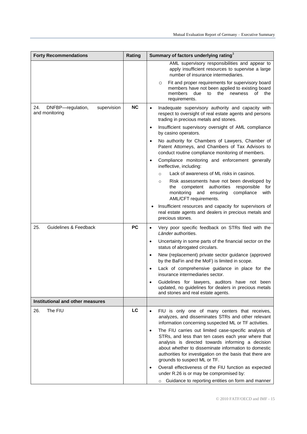| <b>Forty Recommendations</b>                              | Rating    | Summary of factors underlying rating <sup>3</sup>                                                                                                                                                                                                                                                                                  |
|-----------------------------------------------------------|-----------|------------------------------------------------------------------------------------------------------------------------------------------------------------------------------------------------------------------------------------------------------------------------------------------------------------------------------------|
|                                                           |           | AML supervisory responsibilities and appear to<br>apply insufficient resources to supervise a large<br>number of insurance intermediaries.                                                                                                                                                                                         |
|                                                           |           | Fit and proper requirements for supervisory board<br>O<br>members have not been applied to existing board<br>members<br>due<br>the<br>to<br>newness<br>οf<br>the<br>requirements.                                                                                                                                                  |
| DNFBP-regulation,<br>24.<br>supervision<br>and monitoring | <b>NC</b> | Inadequate supervisory authority and capacity with<br>$\bullet$<br>respect to oversight of real estate agents and persons<br>trading in precious metals and stones.                                                                                                                                                                |
|                                                           |           | Insufficient supervisory oversight of AML compliance<br>$\bullet$<br>by casino operators.                                                                                                                                                                                                                                          |
|                                                           |           | No authority for Chambers of Lawyers, Chamber of<br>$\bullet$<br>Patent Attorneys, and Chambers of Tax Advisors to<br>conduct routine compliance monitoring of members.                                                                                                                                                            |
|                                                           |           | Compliance monitoring and enforcement generally<br>٠<br>ineffective, including:                                                                                                                                                                                                                                                    |
|                                                           |           | Lack of awareness of ML risks in casinos.<br>$\circ$                                                                                                                                                                                                                                                                               |
|                                                           |           | Risk assessments have not been developed by<br>$\circ$<br>authorities<br>responsible<br>the<br>competent<br>for<br>monitoring<br>and ensuring<br>compliance<br>with<br>AML/CFT requirements.                                                                                                                                       |
|                                                           |           | Insufficient resources and capacity for supervisors of<br>٠<br>real estate agents and dealers in precious metals and<br>precious stones.                                                                                                                                                                                           |
| 25.<br>Guidelines & Feedback                              | <b>PC</b> | Very poor specific feedback on STRs filed with the<br>$\bullet$<br>Länder authorities.                                                                                                                                                                                                                                             |
|                                                           |           | Uncertainty in some parts of the financial sector on the<br>$\bullet$<br>status of abrogated circulars.                                                                                                                                                                                                                            |
|                                                           |           | New (replacement) private sector guidance (approved<br>$\bullet$<br>by the BaFin and the MoF) is limited in scope.                                                                                                                                                                                                                 |
|                                                           |           | Lack of comprehensive guidance in place for the<br>$\bullet$<br>insurance intermediaries sector.                                                                                                                                                                                                                                   |
|                                                           |           | Guidelines for lawyers, auditors have not been<br>updated, no guidelines for dealers in precious metals<br>and stones and real estate agents.                                                                                                                                                                                      |
| Institutional and other measures                          |           |                                                                                                                                                                                                                                                                                                                                    |
| 26.<br>The FIU                                            | LC        | FIU is only one of many centers that receives,<br>$\bullet$<br>analyzes, and disseminates STRs and other relevant<br>information concerning suspected ML or TF activities.                                                                                                                                                         |
|                                                           |           | The FIU carries out limited case-specific analysis of<br>$\bullet$<br>STRs, and less than ten cases each year where that<br>analysis is directed towards informing a decision<br>about whether to disseminate information to domestic<br>authorities for investigation on the basis that there are<br>grounds to suspect ML or TF. |
|                                                           |           | Overall effectiveness of the FIU function as expected<br>$\bullet$<br>under R.26 is or may be compromised by:<br>o Guidance to reporting entities on form and manner                                                                                                                                                               |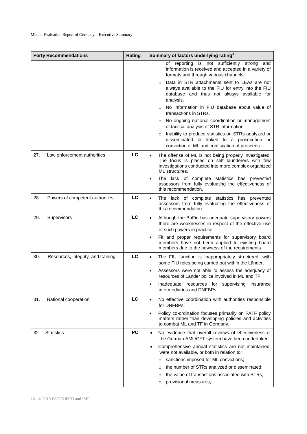|     | <b>Forty Recommendations</b>       | Rating    | Summary of factors underlying rating <sup>3</sup>                                                                                                                                                                                                                                                                                                                                                                                                                                                                                                                                                                                                  |
|-----|------------------------------------|-----------|----------------------------------------------------------------------------------------------------------------------------------------------------------------------------------------------------------------------------------------------------------------------------------------------------------------------------------------------------------------------------------------------------------------------------------------------------------------------------------------------------------------------------------------------------------------------------------------------------------------------------------------------------|
|     |                                    |           | not sufficiently strong<br>reporting<br>is<br>οf<br>and<br>information is received and accepted in a variety of<br>formats and through various channels.<br>Data in STR attachments sent to LEAs are not<br>$\circ$<br>always available to the FIU for entry into the FIU<br>database and thus not always available for<br>analysis.<br>No information in FIU database about value of<br>$\circ$<br>transactions in STRs.<br>No ongoing national coordination or management<br>$\circ$<br>of tactical analysis of STR information.<br>Inability to produce statistics on STRs analyzed or<br>$\circ$<br>disseminated or linked to a prosecution or |
|     |                                    |           | conviction of ML and confiscation of proceeds.                                                                                                                                                                                                                                                                                                                                                                                                                                                                                                                                                                                                     |
| 27. | Law enforcement authorities        | LC        | The offense of ML is not being properly investigated.<br>$\bullet$<br>The focus is placed on self launderers with few<br>investigations conducted into more complex organized<br>ML structures.<br>The lack of complete statistics has prevented<br>$\bullet$<br>assessors from fully evaluating the effectiveness of<br>this recommendation.                                                                                                                                                                                                                                                                                                      |
| 28. | Powers of competent authorities    | LC        | The lack of complete statistics has prevented<br>$\bullet$<br>assessors from fully evaluating the effectiveness of<br>this recommendation.                                                                                                                                                                                                                                                                                                                                                                                                                                                                                                         |
| 29. | Supervisors                        | LC        | Although the BaFin has adequate supervisory powers<br>$\bullet$<br>there are weaknesses in respect of the effective use<br>of such powers in practice.<br>Fit and proper requirements for supervisory board                                                                                                                                                                                                                                                                                                                                                                                                                                        |
|     |                                    |           | members have not been applied to existing board<br>members due to the newness of the requirements.                                                                                                                                                                                                                                                                                                                                                                                                                                                                                                                                                 |
| 30. | Resources, integrity, and training | LC        | The FIU function is inappropriately structured, with<br>$\bullet$<br>some FIU roles being carried out within the Länder.                                                                                                                                                                                                                                                                                                                                                                                                                                                                                                                           |
|     |                                    |           | Assessors were not able to assess the adequacy of<br>$\bullet$<br>resources of Länder police involved in ML and TF.                                                                                                                                                                                                                                                                                                                                                                                                                                                                                                                                |
|     |                                    |           | Inadequate resources for supervising<br>insurance<br>intermediaries and DNFBPs.                                                                                                                                                                                                                                                                                                                                                                                                                                                                                                                                                                    |
| 31. | National cooperation               | LC        | No effective coordination with authorities responsible<br>$\bullet$<br>for DNFBPs.                                                                                                                                                                                                                                                                                                                                                                                                                                                                                                                                                                 |
|     |                                    |           | Policy co-ordination focuses primarily on FATF policy<br>$\bullet$<br>matters rather than developing policies and activities<br>to combat ML and TF in Germany.                                                                                                                                                                                                                                                                                                                                                                                                                                                                                    |
| 32. | <b>Statistics</b>                  | <b>PC</b> | No evidence that overall reviews of effectiveness of<br>$\bullet$<br>the German AML/CFT system have been undertaken.                                                                                                                                                                                                                                                                                                                                                                                                                                                                                                                               |
|     |                                    |           | Comprehensive annual statistics are not maintained,<br>٠<br>were not available, or both in relation to:                                                                                                                                                                                                                                                                                                                                                                                                                                                                                                                                            |
|     |                                    |           | sanctions imposed for ML convictions;<br>$\circ$                                                                                                                                                                                                                                                                                                                                                                                                                                                                                                                                                                                                   |
|     |                                    |           | the number of STRs analyzed or disseminated;<br>$\circ$                                                                                                                                                                                                                                                                                                                                                                                                                                                                                                                                                                                            |
|     |                                    |           | the value of transactions associated with STRs;<br>$\circ$<br>provisional measures;<br>O                                                                                                                                                                                                                                                                                                                                                                                                                                                                                                                                                           |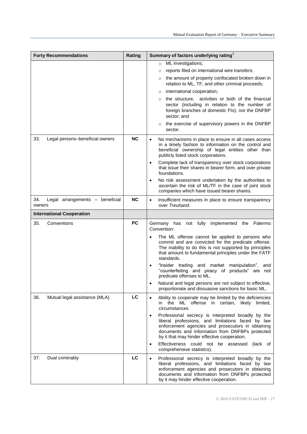| <b>Forty Recommendations</b>                     | Rating    | Summary of factors underlying rating <sup>3</sup>                                                                                                                                                                                                                            |
|--------------------------------------------------|-----------|------------------------------------------------------------------------------------------------------------------------------------------------------------------------------------------------------------------------------------------------------------------------------|
|                                                  |           | ML investigations;<br>$\circ$                                                                                                                                                                                                                                                |
|                                                  |           | reports filed on international wire transfers;<br>$\circ$                                                                                                                                                                                                                    |
|                                                  |           | the amount of property confiscated broken down in<br>relation to ML, TF, and other criminal proceeds;                                                                                                                                                                        |
|                                                  |           | international cooperation;<br>$\circ$                                                                                                                                                                                                                                        |
|                                                  |           | the structure, activities or both of the financial<br>$\circ$<br>sector (including in relation to the number of<br>foreign branches of domestic FIs), nor the DNFBP<br>sector; and                                                                                           |
|                                                  |           | the exercise of supervisory powers in the DNFBP<br>$\circ$<br>sector.                                                                                                                                                                                                        |
| 33.<br>Legal persons-beneficial owners           | <b>NC</b> | No mechanisms in place to ensure in all cases access<br>$\bullet$<br>in a timely fashion to information on the control and<br>beneficial ownership of legal entities other than<br>publicly listed stock corporations.                                                       |
|                                                  |           | Complete lack of transparency over stock corporations<br>$\bullet$<br>that issue their shares in bearer form, and over private<br>foundations.                                                                                                                               |
|                                                  |           | No risk assessment undertaken by the authorities to<br>$\bullet$<br>ascertain the risk of ML/TF in the case of joint stock<br>companies which have issued bearer shares.                                                                                                     |
| 34.<br>Legal arrangements - beneficial<br>owners | <b>NC</b> | Insufficient measures in place to ensure transparency<br>$\bullet$<br>over Treuhand.                                                                                                                                                                                         |
| <b>International Cooperation</b>                 |           |                                                                                                                                                                                                                                                                              |
| 35.<br>Conventions                               | <b>PC</b> | Germany has not fully implemented the Palermo<br>Convention:                                                                                                                                                                                                                 |
|                                                  |           | The ML offense cannot be applied to persons who<br>$\bullet$<br>commit and are convicted for the predicate offense.<br>The inability to do this is not supported by principles<br>that amount to fundamental principles under the FATF<br>standards.                         |
|                                                  |           | "Insider trading and market manipulation",<br>and<br>$\bullet$<br>"counterfeiting and piracy of products" are<br>not<br>predicate offenses to ML.                                                                                                                            |
|                                                  |           | Natural and legal persons are not subject to effective,<br>proportionate and dissuasive sanctions for basic ML.                                                                                                                                                              |
| 36.<br>Mutual legal assistance (MLA)             | LC        | Ability to cooperate may be limited by the deficiencies<br>$\bullet$<br>in the ML offense in certain, likely limited,<br>circumstances.                                                                                                                                      |
|                                                  |           | Professional secrecy is interpreted broadly by the<br>$\bullet$<br>liberal professions, and limitations faced by law<br>enforcement agencies and prosecutors in obtaining<br>documents and information from DNFBPs protected<br>by it that may hinder effective cooperation. |
|                                                  |           | Effectiveness could not be assessed<br>(lack of<br>$\bullet$<br>comprehensive statistics).                                                                                                                                                                                   |
| 37.<br>Dual criminality                          | LC        | Professional secrecy is interpreted broadly by the<br>$\bullet$<br>liberal professions, and limitations faced by law<br>enforcement agencies and prosecutors in obtaining<br>documents and information from DNFBPs protected<br>by it may hinder effective cooperation.      |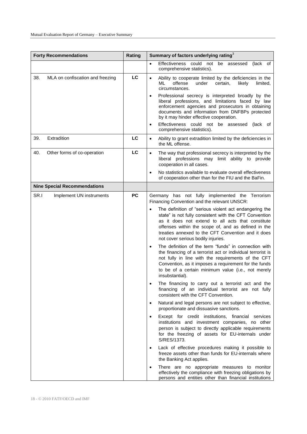| <b>Forty Recommendations</b>            | Rating    | Summary of factors underlying rating <sup>3</sup>                                                                                                                                                                                                                                                                                                                                                                                                                                                                                                                                                                                                                                                                                                                                                                                                                                                                                                                                                                                                                                                                                                                                                                                                                                                                                                                                                                                                                                                                      |
|-----------------------------------------|-----------|------------------------------------------------------------------------------------------------------------------------------------------------------------------------------------------------------------------------------------------------------------------------------------------------------------------------------------------------------------------------------------------------------------------------------------------------------------------------------------------------------------------------------------------------------------------------------------------------------------------------------------------------------------------------------------------------------------------------------------------------------------------------------------------------------------------------------------------------------------------------------------------------------------------------------------------------------------------------------------------------------------------------------------------------------------------------------------------------------------------------------------------------------------------------------------------------------------------------------------------------------------------------------------------------------------------------------------------------------------------------------------------------------------------------------------------------------------------------------------------------------------------------|
|                                         |           | Effectiveness could not<br>be<br>(lack of<br>assessed<br>$\bullet$<br>comprehensive statistics).                                                                                                                                                                                                                                                                                                                                                                                                                                                                                                                                                                                                                                                                                                                                                                                                                                                                                                                                                                                                                                                                                                                                                                                                                                                                                                                                                                                                                       |
| 38.<br>MLA on confiscation and freezing | LC        | Ability to cooperate limited by the deficiencies in the<br>$\bullet$<br>ML<br>offense<br>under<br>certain,<br>likely<br>limited,<br>circumstances.<br>Professional secrecy is interpreted broadly by the<br>liberal professions, and limitations faced by law<br>enforcement agencies and prosecutors in obtaining<br>documents and information from DNFBPs protected<br>by it may hinder effective cooperation.<br>Effectiveness could not be assessed<br>(lack of<br>$\bullet$                                                                                                                                                                                                                                                                                                                                                                                                                                                                                                                                                                                                                                                                                                                                                                                                                                                                                                                                                                                                                                       |
| 39.<br>Extradition                      | LC        | comprehensive statistics).<br>Ability to grant extradition limited by the deficiencies in<br>$\bullet$<br>the ML offense.                                                                                                                                                                                                                                                                                                                                                                                                                                                                                                                                                                                                                                                                                                                                                                                                                                                                                                                                                                                                                                                                                                                                                                                                                                                                                                                                                                                              |
| 40.<br>Other forms of co-operation      | LC        | The way that professional secrecy is interpreted by the<br>$\bullet$<br>liberal professions may limit ability to provide<br>cooperation in all cases.<br>No statistics available to evaluate overall effectiveness<br>$\bullet$<br>of cooperation other than for the FIU and the BaFin.                                                                                                                                                                                                                                                                                                                                                                                                                                                                                                                                                                                                                                                                                                                                                                                                                                                                                                                                                                                                                                                                                                                                                                                                                                |
| <b>Nine Special Recommendations</b>     |           |                                                                                                                                                                                                                                                                                                                                                                                                                                                                                                                                                                                                                                                                                                                                                                                                                                                                                                                                                                                                                                                                                                                                                                                                                                                                                                                                                                                                                                                                                                                        |
| SR.I<br>Implement UN instruments        | <b>PC</b> | Germany has not fully implemented the Terrorism<br>Financing Convention and the relevant UNSCR:<br>The definition of "serious violent act endangering the<br>$\bullet$<br>state" is not fully consistent with the CFT Convention<br>as it does not extend to all acts that constitute<br>offenses within the scope of, and as defined in the<br>treaties annexed to the CFT Convention and it does<br>not cover serious bodily injuries.<br>The definition of the term "funds" in connection with<br>$\bullet$<br>the financing of a terrorist act or individual terrorist is<br>not fully in line with the requirements of the CFT<br>Convention, as it imposes a requirement for the funds<br>to be of a certain minimum value (i.e., not merely<br>insubstantial).<br>The financing to carry out a terrorist act and the<br>financing of an individual terrorist are not fully<br>consistent with the CFT Convention.<br>Natural and legal persons are not subject to effective,<br>$\bullet$<br>proportionate and dissuasive sanctions.<br>Except for credit institutions, financial<br>services<br>$\bullet$<br>institutions and investment companies, no other<br>person is subject to directly applicable requirements<br>for the freezing of assets for EU-internals under<br>S/RES/1373.<br>Lack of effective procedures making it possible to<br>$\bullet$<br>freeze assets other than funds for EU-internals where<br>the Banking Act applies.<br>There are no appropriate measures to monitor<br>$\bullet$ |
|                                         |           | effectively the compliance with freezing obligations by<br>persons and entities other than financial institutions                                                                                                                                                                                                                                                                                                                                                                                                                                                                                                                                                                                                                                                                                                                                                                                                                                                                                                                                                                                                                                                                                                                                                                                                                                                                                                                                                                                                      |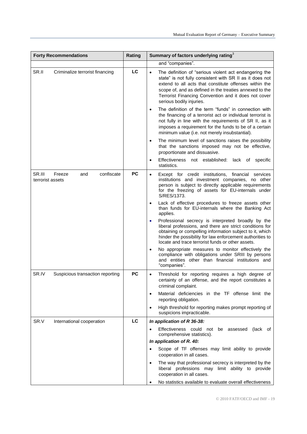| <b>Forty Recommendations</b>                              | Rating    | Summary of factors underlying rating <sup>3</sup>                                                                                                                                                                                                                                                                                        |
|-----------------------------------------------------------|-----------|------------------------------------------------------------------------------------------------------------------------------------------------------------------------------------------------------------------------------------------------------------------------------------------------------------------------------------------|
|                                                           |           | and "companies".                                                                                                                                                                                                                                                                                                                         |
| SR.II<br>Criminalize terrorist financing                  | LC        | The definition of "serious violent act endangering the<br>$\bullet$<br>state" is not fully consistent with SR II as it does not<br>extend to all acts that constitute offenses within the<br>scope of, and as defined in the treaties annexed to the<br>Terrorist Financing Convention and it does not cover<br>serious bodily injuries. |
|                                                           |           | The definition of the term "funds" in connection with<br>$\bullet$<br>the financing of a terrorist act or individual terrorist is<br>not fully in line with the requirements of SR II, as it<br>imposes a requirement for the funds to be of a certain<br>minimum value (i.e. not merely insubstantial).                                 |
|                                                           |           | The minimum level of sanctions raises the possibility<br>$\bullet$<br>that the sanctions imposed may not be effective,<br>proportionate and dissuasive.                                                                                                                                                                                  |
|                                                           |           | Effectiveness not established: lack of specific<br>$\bullet$<br>statistics.                                                                                                                                                                                                                                                              |
| SR.III<br>Freeze<br>confiscate<br>and<br>terrorist assets | <b>PC</b> | Except for credit institutions,<br>financial services<br>$\bullet$<br>institutions and investment companies, no other<br>person is subject to directly applicable requirements<br>for the freezing of assets for EU-internals under<br>S/RES/1373.                                                                                       |
|                                                           |           | Lack of effective procedures to freeze assets other<br>$\bullet$<br>than funds for EU-internals where the Banking Act<br>applies.                                                                                                                                                                                                        |
|                                                           |           | Professional secrecy is interpreted broadly by the<br>$\bullet$<br>liberal professions, and there are strict conditions for<br>obtaining or compelling information subject to it, which<br>hinder the possibility for law enforcement authorities to<br>locate and trace terrorist funds or other assets.                                |
|                                                           |           | No appropriate measures to monitor effectively the<br>$\bullet$<br>compliance with obligations under SRIII by persons<br>and entities other than financial institutions and<br>"companies".                                                                                                                                              |
| SR.IV<br>Suspicious transaction reporting                 | <b>PC</b> | Threshold for reporting requires a high degree of<br>$\bullet$<br>certainty of an offense, and the report constitutes a<br>criminal complaint.                                                                                                                                                                                           |
|                                                           |           | Material deficiencies in the TF offense limit the<br>$\bullet$<br>reporting obligation.                                                                                                                                                                                                                                                  |
|                                                           |           | High threshold for reporting makes prompt reporting of<br>$\bullet$<br>suspicions impracticable.                                                                                                                                                                                                                                         |
| SR.V<br>International cooperation                         | LC        | In application of R 36-38:                                                                                                                                                                                                                                                                                                               |
|                                                           |           | Effectiveness could not be assessed<br>(lack of<br>comprehensive statistics).                                                                                                                                                                                                                                                            |
|                                                           |           | In application of R. 40:                                                                                                                                                                                                                                                                                                                 |
|                                                           |           | Scope of TF offenses may limit ability to provide<br>cooperation in all cases.                                                                                                                                                                                                                                                           |
|                                                           |           | The way that professional secrecy is interpreted by the<br>liberal professions may limit ability to provide<br>cooperation in all cases.                                                                                                                                                                                                 |
|                                                           |           | No statistics available to evaluate overall effectiveness<br>$\bullet$                                                                                                                                                                                                                                                                   |